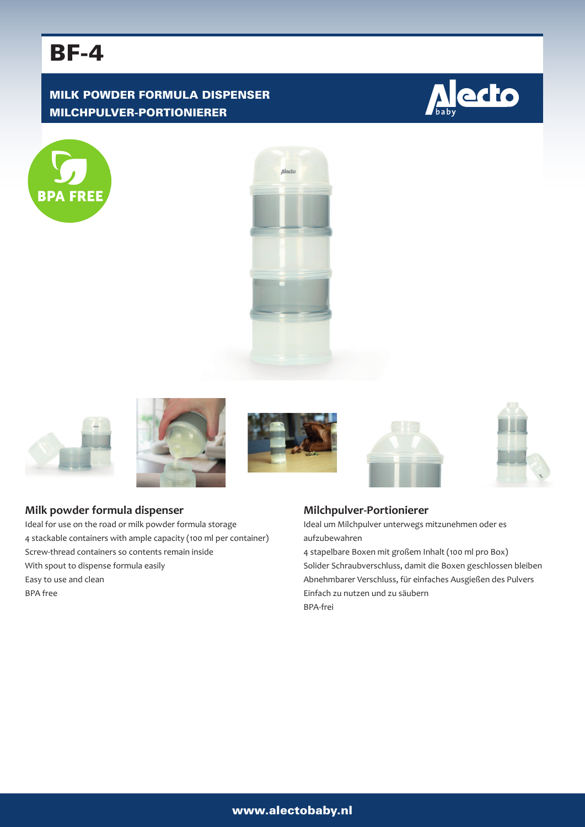# BF-4

# MILK POWDER FORMULA DISPENSER MILCHPULVER-PORTIONIERER

















# **Milk powder formula dispenser**

Ideal for use on the road or milk powder formula storage 4 stackable containers with ample capacity (100 ml per container) Screw-thread containers so contents remain inside With spout to dispense formula easily Easy to use and clean BPA free

# **Milchpulver-Portionierer**

Ideal um Milchpulver unterwegs mitzunehmen oder es aufzubewahren

4 stapelbare Boxen mit großem Inhalt (100 ml pro Box) Solider Schraubverschluss, damit die Boxen geschlossen bleiben Abnehmbarer Verschluss, für einfaches Ausgießen des Pulvers Einfach zu nutzen und zu säubern BPA-frei